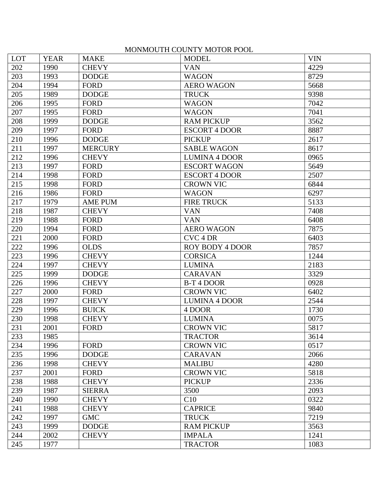## MONMOUTH COUNTY MOTOR POOL

| <b>LOT</b> | <b>YEAR</b> | <b>MAKE</b>    | <b>MODEL</b>           | <b>VIN</b> |
|------------|-------------|----------------|------------------------|------------|
| 202        | 1990        | <b>CHEVY</b>   | <b>VAN</b>             | 4229       |
| 203        | 1993        | <b>DODGE</b>   | <b>WAGON</b>           | 8729       |
| 204        | 1994        | <b>FORD</b>    | <b>AERO WAGON</b>      | 5668       |
| 205        | 1989        | <b>DODGE</b>   | <b>TRUCK</b>           | 9398       |
| 206        | 1995        | <b>FORD</b>    | <b>WAGON</b>           | 7042       |
| 207        | 1995        | <b>FORD</b>    | <b>WAGON</b>           | 7041       |
| 208        | 1999        | <b>DODGE</b>   | <b>RAM PICKUP</b>      | 3562       |
| 209        | 1997        | <b>FORD</b>    | <b>ESCORT 4 DOOR</b>   | 8887       |
| 210        | 1996        | <b>DODGE</b>   | <b>PICKUP</b>          | 2617       |
| 211        | 1997        | <b>MERCURY</b> | <b>SABLE WAGON</b>     | 8617       |
| 212        | 1996        | <b>CHEVY</b>   | <b>LUMINA 4 DOOR</b>   | 0965       |
| 213        | 1997        | <b>FORD</b>    | <b>ESCORT WAGON</b>    | 5649       |
| 214        | 1998        | <b>FORD</b>    | <b>ESCORT 4 DOOR</b>   | 2507       |
| 215        | 1998        | <b>FORD</b>    | <b>CROWN VIC</b>       | 6844       |
| 216        | 1986        | <b>FORD</b>    | <b>WAGON</b>           | 6297       |
| 217        | 1979        | <b>AME PUM</b> | <b>FIRE TRUCK</b>      | 5133       |
| 218        | 1987        | <b>CHEVY</b>   | <b>VAN</b>             | 7408       |
| 219        | 1988        | <b>FORD</b>    | <b>VAN</b>             | 6408       |
| 220        | 1994        | <b>FORD</b>    | <b>AERO WAGON</b>      | 7875       |
| 221        | 2000        | <b>FORD</b>    | CVC <sub>4</sub> DR    | 6403       |
| 222        | 1996        | <b>OLDS</b>    | <b>ROY BODY 4 DOOR</b> | 7857       |
| 223        | 1996        | <b>CHEVY</b>   | <b>CORSICA</b>         | 1244       |
| 224        | 1997        | <b>CHEVY</b>   | <b>LUMINA</b>          | 2183       |
| 225        | 1999        | <b>DODGE</b>   | <b>CARAVAN</b>         | 3329       |
| 226        | 1996        | <b>CHEVY</b>   | B-T <sub>4</sub> DOOR  | 0928       |
| 227        | 2000        | <b>FORD</b>    | <b>CROWN VIC</b>       | 6402       |
| 228        | 1997        | <b>CHEVY</b>   | <b>LUMINA 4 DOOR</b>   | 2544       |
| 229        | 1996        | <b>BUICK</b>   | 4 DOOR                 | 1730       |
| 230        | 1998        | <b>CHEVY</b>   | <b>LUMINA</b>          | 0075       |
| 231        | 2001        | <b>FORD</b>    | <b>CROWN VIC</b>       | 5817       |
| 233        | 1985        |                | <b>TRACTOR</b>         | 3614       |
| 234        | 1996        | <b>FORD</b>    | <b>CROWN VIC</b>       | 0517       |
| 235        | 1996        | <b>DODGE</b>   | <b>CARAVAN</b>         | 2066       |
| 236        | 1998        | <b>CHEVY</b>   | <b>MALIBU</b>          | 4280       |
| 237        | 2001        | <b>FORD</b>    | <b>CROWN VIC</b>       | 5818       |
| 238        | 1988        | <b>CHEVY</b>   | <b>PICKUP</b>          | 2336       |
| 239        | 1987        | <b>SIERRA</b>  | 3500                   | 2093       |
| 240        | 1990        | <b>CHEVY</b>   | C10                    | 0322       |
| 241        | 1988        | <b>CHEVY</b>   | <b>CAPRICE</b>         | 9840       |
| 242        | 1997        | <b>GMC</b>     | <b>TRUCK</b>           | 7219       |
| 243        | 1999        | <b>DODGE</b>   | <b>RAM PICKUP</b>      | 3563       |
| 244        | 2002        | <b>CHEVY</b>   | <b>IMPALA</b>          | 1241       |
| 245        | 1977        |                | <b>TRACTOR</b>         | 1083       |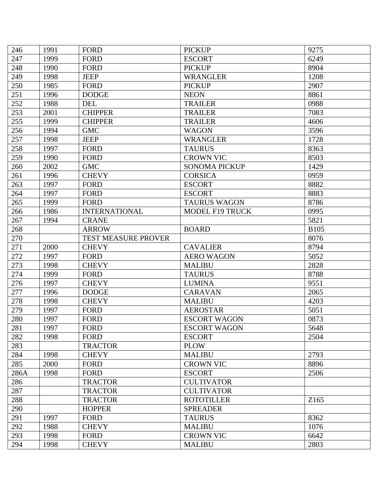| 246  | 1991 | <b>FORD</b>                | <b>PICKUP</b>          | 9275        |
|------|------|----------------------------|------------------------|-------------|
| 247  | 1999 | <b>FORD</b>                | <b>ESCORT</b>          | 6249        |
| 248  | 1990 | <b>FORD</b>                | <b>PICKUP</b>          | 8904        |
| 249  | 1998 | <b>JEEP</b>                | <b>WRANGLER</b>        | 1208        |
| 250  | 1985 | <b>FORD</b>                | <b>PICKUP</b>          | 2907        |
| 251  | 1996 | <b>DODGE</b>               | <b>NEON</b>            | 8861        |
| 252  | 1988 | <b>DEL</b>                 | <b>TRAILER</b>         | 0988        |
| 253  | 2001 | <b>CHIPPER</b>             | <b>TRAILER</b>         | 7083        |
| 255  | 1999 | <b>CHIPPER</b>             | <b>TRAILER</b>         | 4606        |
| 256  | 1994 | <b>GMC</b>                 | <b>WAGON</b>           | 3596        |
| 257  | 1998 | <b>JEEP</b>                | <b>WRANGLER</b>        | 1728        |
| 258  | 1997 | <b>FORD</b>                | <b>TAURUS</b>          | 8363        |
| 259  | 1990 | <b>FORD</b>                | <b>CROWN VIC</b>       | 8503        |
| 260  | 2002 | <b>GMC</b>                 | <b>SONOMA PICKUP</b>   | 1429        |
| 261  | 1996 | <b>CHEVY</b>               | <b>CORSICA</b>         | 0959        |
| 263  | 1997 | <b>FORD</b>                | <b>ESCORT</b>          | 8882        |
| 264  | 1997 | <b>FORD</b>                | <b>ESCORT</b>          | 8883        |
| 265  | 1999 | <b>FORD</b>                | <b>TAURUS WAGON</b>    | 8786        |
| 266  | 1986 | <b>INTERNATIONAL</b>       | <b>MODEL F19 TRUCK</b> | 0995        |
| 267  | 1994 | <b>CRANE</b>               |                        | 5821        |
| 268  |      | <b>ARROW</b>               | <b>BOARD</b>           | <b>B105</b> |
| 270  |      | <b>TEST MEASURE PROVER</b> |                        | 8076        |
| 271  | 2000 | <b>CHEVY</b>               | <b>CAVALIER</b>        | 8794        |
| 272  | 1997 | <b>FORD</b>                | <b>AERO WAGON</b>      | 5052        |
| 273  | 1998 | <b>CHEVY</b>               | <b>MALIBU</b>          | 2828        |
| 274  | 1999 | <b>FORD</b>                | <b>TAURUS</b>          | 8788        |
| 276  | 1997 | <b>CHEVY</b>               | <b>LUMINA</b>          | 9551        |
| 277  | 1996 | <b>DODGE</b>               | <b>CARAVAN</b>         | 2065        |
| 278  | 1998 | <b>CHEVY</b>               | <b>MALIBU</b>          | 4203        |
| 279  | 1997 | <b>FORD</b>                | <b>AEROSTAR</b>        | 5051        |
| 280  | 1997 | <b>FORD</b>                | <b>ESCORT WAGON</b>    | 0873        |
| 281  | 1997 | FORD                       | <b>ESCORT WAGON</b>    | 5648        |
| 282  | 1998 | <b>FORD</b>                | <b>ESCORT</b>          | 2504        |
| 283  |      | <b>TRACTOR</b>             | <b>PLOW</b>            |             |
| 284  | 1998 | <b>CHEVY</b>               | <b>MALIBU</b>          | 2793        |
| 285  | 2000 | <b>FORD</b>                | <b>CROWN VIC</b>       | 8896        |
| 286A | 1998 | <b>FORD</b>                | <b>ESCORT</b>          | 2506        |
| 286  |      | <b>TRACTOR</b>             | <b>CULTIVATOR</b>      |             |
| 287  |      | <b>TRACTOR</b>             | <b>CULTIVATOR</b>      |             |
| 288  |      | <b>TRACTOR</b>             | <b>ROTOTILLER</b>      | Z165        |
| 290  |      | <b>HOPPER</b>              | <b>SPREADER</b>        |             |
| 291  | 1997 | <b>FORD</b>                | <b>TAURUS</b>          | 8362        |
| 292  | 1988 | <b>CHEVY</b>               | <b>MALIBU</b>          | 1076        |
| 293  | 1998 | <b>FORD</b>                | <b>CROWN VIC</b>       | 6642        |
| 294  | 1998 | <b>CHEVY</b>               | <b>MALIBU</b>          | 2803        |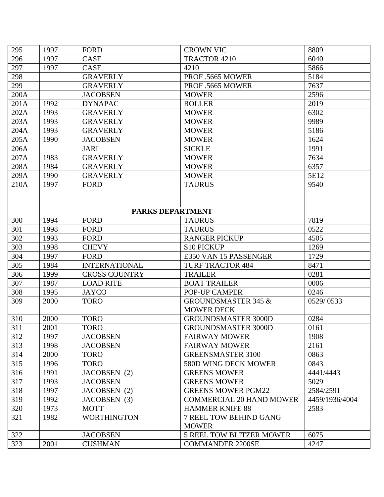| 295  | 1997 | FORD                 | <b>CROWN VIC</b>                | 8809           |
|------|------|----------------------|---------------------------------|----------------|
| 296  | 1997 | <b>CASE</b>          | TRACTOR 4210                    | 6040           |
| 297  | 1997 | <b>CASE</b>          | 4210                            | 5866           |
| 298  |      | <b>GRAVERLY</b>      | PROF .5665 MOWER                | 5184           |
| 299  |      | <b>GRAVERLY</b>      | PROF .5665 MOWER                | 7637           |
| 200A |      | <b>JACOBSEN</b>      | <b>MOWER</b>                    | 2596           |
| 201A | 1992 | <b>DYNAPAC</b>       | <b>ROLLER</b>                   | 2019           |
| 202A | 1993 | <b>GRAVERLY</b>      | <b>MOWER</b>                    | 6302           |
| 203A | 1993 | <b>GRAVERLY</b>      | <b>MOWER</b>                    | 9989           |
| 204A | 1993 | <b>GRAVERLY</b>      | <b>MOWER</b>                    | 5186           |
| 205A | 1990 | <b>JACOBSEN</b>      | <b>MOWER</b>                    | 1624           |
| 206A |      | <b>JARI</b>          | <b>SICKLE</b>                   | 1991           |
| 207A | 1983 | <b>GRAVERLY</b>      | <b>MOWER</b>                    | 7634           |
| 208A | 1984 | <b>GRAVERLY</b>      | <b>MOWER</b>                    | 6357           |
| 209A | 1990 | <b>GRAVERLY</b>      | <b>MOWER</b>                    | 5E12           |
| 210A | 1997 | <b>FORD</b>          | <b>TAURUS</b>                   | 9540           |
|      |      |                      |                                 |                |
|      |      |                      |                                 |                |
|      |      | PARKS DEPARTMENT     |                                 |                |
| 300  | 1994 | <b>FORD</b>          | <b>TAURUS</b>                   | 7819           |
| 301  | 1998 | <b>FORD</b>          | <b>TAURUS</b>                   | 0522           |
| 302  | 1993 | <b>FORD</b>          | <b>RANGER PICKUP</b>            | 4505           |
| 303  | 1998 | <b>CHEVY</b>         | S10 PICKUP                      | 1269           |
| 304  | 1997 | <b>FORD</b>          | E350 VAN 15 PASSENGER           | 1729           |
| 305  | 1984 | <b>INTERNATIONAL</b> | <b>TURF TRACTOR 484</b>         | 8471           |
| 306  | 1999 | <b>CROSS COUNTRY</b> | <b>TRAILER</b>                  | 0281           |
| 307  | 1987 | <b>LOAD RITE</b>     | <b>BOAT TRAILER</b>             | 0006           |
| 308  | 1995 | <b>JAYCO</b>         | POP-UP CAMPER                   | 0246           |
| 309  | 2000 | <b>TORO</b>          | <b>GROUNDSMASTER 345 &amp;</b>  | 0529/0533      |
|      |      |                      | <b>MOWER DECK</b>               |                |
| 310  | 2000 | <b>TORO</b>          | <b>GROUNDSMASTER 3000D</b>      | 0284           |
| 311  | 2001 | <b>TORO</b>          | <b>GROUNDSMASTER 3000D</b>      | 0161           |
| 312  | 1997 | <b>JACOBSEN</b>      | <b>FAIRWAY MOWER</b>            | 1908           |
| 313  | 1998 | <b>JACOBSEN</b>      | <b>FAIRWAY MOWER</b>            | 2161           |
| 314  | 2000 | <b>TORO</b>          | <b>GREENSMASTER 3100</b>        | 0863           |
| 315  | 1996 | <b>TORO</b>          | <b>580D WING DECK MOWER</b>     | 0843           |
| 316  | 1991 | JACOBSEN (2)         | <b>GREENS MOWER</b>             | 4441/4443      |
| 317  | 1993 | <b>JACOBSEN</b>      | <b>GREENS MOWER</b>             | 5029           |
| 318  | 1997 | JACOBSEN (2)         | <b>GREENS MOWER PGM22</b>       | 2584/2591      |
| 319  | 1992 | JACOBSEN (3)         | <b>COMMERCIAL 20 HAND MOWER</b> | 4459/1936/4004 |
| 320  | 1973 | <b>MOTT</b>          | <b>HAMMER KNIFE 88</b>          | 2583           |
| 321  | 1982 | <b>WORTHINGTON</b>   | 7 REEL TOW BEHIND GANG          |                |
|      |      |                      | <b>MOWER</b>                    |                |
| 322  |      | <b>JACOBSEN</b>      | <b>5 REEL TOW BLITZER MOWER</b> | 6075           |
| 323  | 2001 | <b>CUSHMAN</b>       | <b>COMMANDER 2200SE</b>         | 4247           |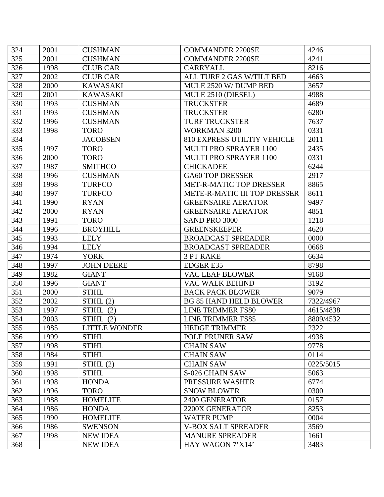| 324 | 2001 | <b>CUSHMAN</b>    | <b>COMMANDER 2200SE</b>        | 4246      |
|-----|------|-------------------|--------------------------------|-----------|
| 325 | 2001 | <b>CUSHMAN</b>    | <b>COMMANDER 2200SE</b>        | 4241      |
| 326 | 1998 | <b>CLUB CAR</b>   | CARRYALL                       | 8216      |
| 327 | 2002 | <b>CLUB CAR</b>   | ALL TURF 2 GAS W/TILT BED      | 4663      |
| 328 | 2000 | <b>KAWASAKI</b>   | MULE 2520 W/DUMP BED           | 3657      |
| 329 | 2001 | <b>KAWASAKI</b>   | MULE 2510 (DIESEL)             | 4988      |
| 330 | 1993 | <b>CUSHMAN</b>    | <b>TRUCKSTER</b>               | 4689      |
| 331 | 1993 | <b>CUSHMAN</b>    | <b>TRUCKSTER</b>               | 6280      |
| 332 | 1996 | <b>CUSHMAN</b>    | <b>TURF TRUCKSTER</b>          | 7637      |
| 333 | 1998 | <b>TORO</b>       | <b>WORKMAN 3200</b>            | 0331      |
| 334 |      | <b>JACOBSEN</b>   | 810 EXPRESS UTILTIY VEHICLE    | 2011      |
| 335 | 1997 | <b>TORO</b>       | MULTI PRO SPRAYER 1100         | 2435      |
| 336 | 2000 | <b>TORO</b>       | MULTI PRO SPRAYER 1100         | 0331      |
| 337 | 1987 | <b>SMITHCO</b>    | <b>CHICKADEE</b>               | 6244      |
| 338 | 1996 | <b>CUSHMAN</b>    | <b>GA60 TOP DRESSER</b>        | 2917      |
| 339 | 1998 | <b>TURFCO</b>     | <b>MET-R-MATIC TOP DRESSER</b> | 8865      |
| 340 | 1997 | <b>TURFCO</b>     | METE-R-MATIC III TOP DRESSER   | 8611      |
| 341 | 1990 | <b>RYAN</b>       | <b>GREENSAIRE AERATOR</b>      | 9497      |
| 342 | 2000 | <b>RYAN</b>       | <b>GREENSAIRE AERATOR</b>      | 4851      |
| 343 | 1991 | <b>TORO</b>       | SAND PRO 3000                  | 1218      |
| 344 | 1996 | <b>BROYHILL</b>   | <b>GREENSKEEPER</b>            | 4620      |
| 345 | 1993 | <b>LELY</b>       | <b>BROADCAST SPREADER</b>      | 0000      |
| 346 | 1994 | <b>LELY</b>       | <b>BROADCAST SPREADER</b>      | 0668      |
| 347 | 1974 | <b>YORK</b>       | <b>3 PT RAKE</b>               | 6634      |
| 348 | 1997 | <b>JOHN DEERE</b> | <b>EDGER E35</b>               | 8798      |
| 349 | 1982 | <b>GIANT</b>      | <b>VAC LEAF BLOWER</b>         | 9168      |
| 350 | 1996 | <b>GIANT</b>      | <b>VAC WALK BEHIND</b>         | 3192      |
| 351 | 2000 | <b>STIHL</b>      | <b>BACK PACK BLOWER</b>        | 9079      |
| 352 | 2002 | STIHL(2)          | <b>BG 85 HAND HELD BLOWER</b>  | 7322/4967 |
| 353 | 1997 | STIHL $(2)$       | <b>LINE TRIMMER FS80</b>       | 4615/4838 |
| 354 | 2003 | STIHL $(2)$       | LINE TRIMMER FS85              | 8809/4532 |
| 355 | 1985 | LITTLE WONDER     | HEDGE TRIMMER                  | 2322      |
| 356 | 1999 | <b>STIHL</b>      | POLE PRUNER SAW                | 4938      |
| 357 | 1998 | <b>STIHL</b>      | <b>CHAIN SAW</b>               | 9778      |
| 358 | 1984 | <b>STIHL</b>      | <b>CHAIN SAW</b>               | 0114      |
| 359 | 1991 | STIHL(2)          | <b>CHAIN SAW</b>               | 0225/5015 |
| 360 | 1998 | <b>STIHL</b>      | S-026 CHAIN SAW                | 5063      |
| 361 | 1998 | <b>HONDA</b>      | PRESSURE WASHER                | 6774      |
| 362 | 1996 | <b>TORO</b>       | <b>SNOW BLOWER</b>             | 0300      |
| 363 | 1988 | <b>HOMELITE</b>   | 2400 GENERATOR                 | 0157      |
| 364 | 1986 | <b>HONDA</b>      | 2200X GENERATOR                | 8253      |
| 365 | 1990 | <b>HOMELITE</b>   | <b>WATER PUMP</b>              | 0004      |
| 366 | 1986 | <b>SWENSON</b>    | <b>V-BOX SALT SPREADER</b>     | 3569      |
| 367 | 1998 | <b>NEW IDEA</b>   | <b>MANURE SPREADER</b>         | 1661      |
| 368 |      | <b>NEW IDEA</b>   | HAY WAGON 7'X14'               | 3483      |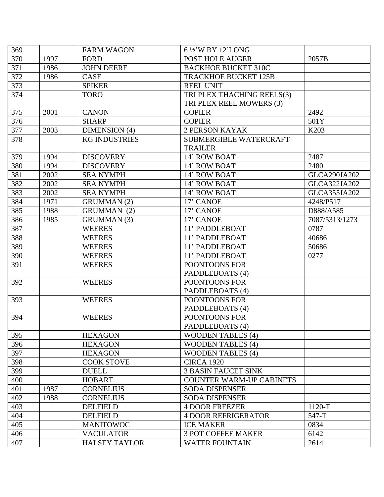| 369 |      | <b>FARM WAGON</b>    | 6 1/2'W BY 12'LONG              |                     |
|-----|------|----------------------|---------------------------------|---------------------|
| 370 | 1997 | <b>FORD</b>          | POST HOLE AUGER                 | 2057B               |
| 371 | 1986 | <b>JOHN DEERE</b>    | <b>BACKHOE BUCKET 310C</b>      |                     |
| 372 | 1986 | <b>CASE</b>          | <b>TRACKHOE BUCKET 125B</b>     |                     |
| 373 |      | <b>SPIKER</b>        | <b>REEL UNIT</b>                |                     |
| 374 |      | <b>TORO</b>          | TRI PLEX THACHING REELS(3)      |                     |
|     |      |                      | TRI PLEX REEL MOWERS (3)        |                     |
| 375 | 2001 | <b>CANON</b>         | <b>COPIER</b>                   | 2492                |
| 376 |      | <b>SHARP</b>         | <b>COPIER</b>                   | 501Y                |
| 377 | 2003 | DIMENSION (4)        | <b>2 PERSON KAYAK</b>           | K <sub>203</sub>    |
| 378 |      | <b>KG INDUSTRIES</b> | <b>SUBMERGIBLE WATERCRAFT</b>   |                     |
|     |      |                      | <b>TRAILER</b>                  |                     |
| 379 | 1994 | <b>DISCOVERY</b>     | 14' ROW BOAT                    | 2487                |
| 380 | 1994 | <b>DISCOVERY</b>     | 14' ROW BOAT                    | 2480                |
| 381 | 2002 | <b>SEA NYMPH</b>     | 14' ROW BOAT                    | <b>GLCA290JA202</b> |
| 382 | 2002 | <b>SEA NYMPH</b>     | 14' ROW BOAT                    | <b>GLCA322JA202</b> |
| 383 | 2002 | <b>SEA NYMPH</b>     | 14' ROW BOAT                    | <b>GLCA355JA202</b> |
| 384 | 1971 | <b>GRUMMAN</b> (2)   | 17' CANOE                       | 4248/P517           |
| 385 | 1988 | GRUMMAN (2)          | 17' CANOE                       | D888/A585           |
| 386 | 1985 | <b>GRUMMAN</b> (3)   | 17' CANOE                       | 7087/5313/1273      |
| 387 |      | <b>WEERES</b>        | 11' PADDLEBOAT                  | 0787                |
| 388 |      | <b>WEERES</b>        | 11' PADDLEBOAT                  | 40686               |
| 389 |      | <b>WEERES</b>        | 11' PADDLEBOAT                  | 50686               |
| 390 |      | <b>WEERES</b>        | 11' PADDLEBOAT                  | 0277                |
| 391 |      | <b>WEERES</b>        | POONTOONS FOR                   |                     |
|     |      |                      | PADDLEBOATS (4)                 |                     |
| 392 |      | <b>WEERES</b>        | POONTOONS FOR                   |                     |
|     |      |                      | PADDLEBOATS (4)                 |                     |
| 393 |      | <b>WEERES</b>        | POONTOONS FOR                   |                     |
|     |      |                      | PADDLEBOATS (4)                 |                     |
| 394 |      | <b>WEERES</b>        | POONTOONS FOR                   |                     |
|     |      |                      | PADDLEBOATS (4)                 |                     |
| 395 |      | <b>HEXAGON</b>       | <b>WOODEN TABLES (4)</b>        |                     |
| 396 |      | <b>HEXAGON</b>       | <b>WOODEN TABLES (4)</b>        |                     |
| 397 |      | <b>HEXAGON</b>       | <b>WOODEN TABLES (4)</b>        |                     |
| 398 |      | <b>COOK STOVE</b>    | <b>CIRCA 1920</b>               |                     |
| 399 |      | <b>DUELL</b>         | <b>3 BASIN FAUCET SINK</b>      |                     |
| 400 |      | <b>HOBART</b>        | <b>COUNTER WARM-UP CABINETS</b> |                     |
| 401 | 1987 | <b>CORNELIUS</b>     | <b>SODA DISPENSER</b>           |                     |
| 402 | 1988 | <b>CORNELIUS</b>     | <b>SODA DISPENSER</b>           |                     |
| 403 |      | <b>DELFIELD</b>      | <b>4 DOOR FREEZER</b>           | 1120-T              |
| 404 |      | <b>DELFIELD</b>      | <b>4 DOOR REFRIGERATOR</b>      | $547-T$             |
| 405 |      | <b>MANITOWOC</b>     | <b>ICE MAKER</b>                | 0834                |
| 406 |      | <b>VACULATOR</b>     | <b>3 POT COFFEE MAKER</b>       | 6142                |
| 407 |      | <b>HALSEY TAYLOR</b> | <b>WATER FOUNTAIN</b>           | 2614                |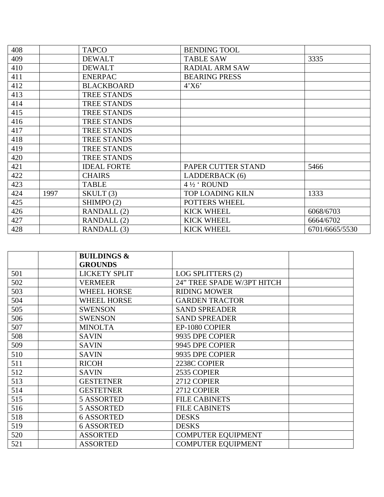| 408 |      | <b>TAPCO</b>       | <b>BENDING TOOL</b>     |                |
|-----|------|--------------------|-------------------------|----------------|
| 409 |      | <b>DEWALT</b>      | <b>TABLE SAW</b>        | 3335           |
| 410 |      | <b>DEWALT</b>      | <b>RADIAL ARM SAW</b>   |                |
| 411 |      | <b>ENERPAC</b>     | <b>BEARING PRESS</b>    |                |
| 412 |      | <b>BLACKBOARD</b>  | 4'X6'                   |                |
| 413 |      | <b>TREE STANDS</b> |                         |                |
| 414 |      | <b>TREE STANDS</b> |                         |                |
| 415 |      | <b>TREE STANDS</b> |                         |                |
| 416 |      | <b>TREE STANDS</b> |                         |                |
| 417 |      | <b>TREE STANDS</b> |                         |                |
| 418 |      | <b>TREE STANDS</b> |                         |                |
| 419 |      | <b>TREE STANDS</b> |                         |                |
| 420 |      | <b>TREE STANDS</b> |                         |                |
| 421 |      | <b>IDEAL FORTE</b> | PAPER CUTTER STAND      | 5466           |
| 422 |      | <b>CHAIRS</b>      | LADDERBACK (6)          |                |
| 423 |      | <b>TABLE</b>       | $4\frac{1}{2}$ ROUND    |                |
| 424 | 1997 | SKULT(3)           | <b>TOP LOADING KILN</b> | 1333           |
| 425 |      | SHIMPO (2)         | <b>POTTERS WHEEL</b>    |                |
| 426 |      | RANDALL (2)        | <b>KICK WHEEL</b>       | 6068/6703      |
| 427 |      | RANDALL (2)        | <b>KICK WHEEL</b>       | 6664/6702      |
| 428 |      | RANDALL (3)        | <b>KICK WHEEL</b>       | 6701/6665/5530 |

|     | <b>BUILDINGS &amp;</b> |                            |  |
|-----|------------------------|----------------------------|--|
|     | <b>GROUNDS</b>         |                            |  |
| 501 | <b>LICKETY SPLIT</b>   | LOG SPLITTERS (2)          |  |
| 502 | <b>VERMEER</b>         | 24" TREE SPADE W/3PT HITCH |  |
| 503 | <b>WHEEL HORSE</b>     | <b>RIDING MOWER</b>        |  |
| 504 | WHEEL HORSE            | <b>GARDEN TRACTOR</b>      |  |
| 505 | <b>SWENSON</b>         | <b>SAND SPREADER</b>       |  |
| 506 | <b>SWENSON</b>         | <b>SAND SPREADER</b>       |  |
| 507 | <b>MINOLTA</b>         | EP-1080 COPIER             |  |
| 508 | <b>SAVIN</b>           | 9935 DPE COPIER            |  |
| 509 | <b>SAVIN</b>           | 9945 DPE COPIER            |  |
| 510 | <b>SAVIN</b>           | 9935 DPE COPIER            |  |
| 511 | <b>RICOH</b>           | 2238C COPIER               |  |
| 512 | <b>SAVIN</b>           | 2535 COPIER                |  |
| 513 | <b>GESTETNER</b>       | 2712 COPIER                |  |
| 514 | <b>GESTETNER</b>       | 2712 COPIER                |  |
| 515 | <b>5 ASSORTED</b>      | <b>FILE CABINETS</b>       |  |
| 516 | <b>5 ASSORTED</b>      | <b>FILE CABINETS</b>       |  |
| 518 | <b>6 ASSORTED</b>      | <b>DESKS</b>               |  |
| 519 | <b>6 ASSORTED</b>      | <b>DESKS</b>               |  |
| 520 | <b>ASSORTED</b>        | <b>COMPUTER EQUIPMENT</b>  |  |
| 521 | <b>ASSORTED</b>        | <b>COMPUTER EQUIPMENT</b>  |  |
|     |                        |                            |  |